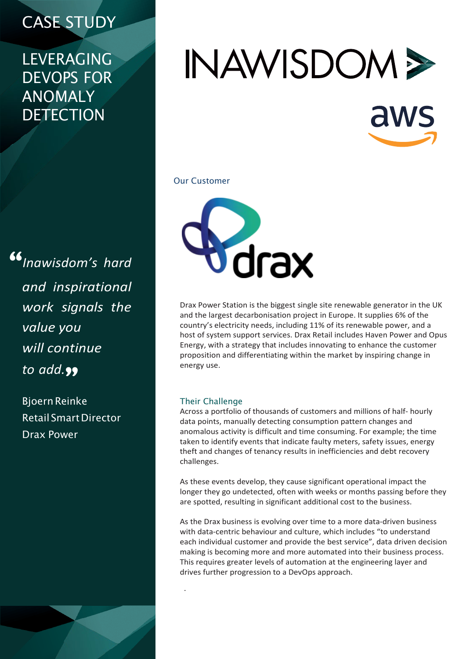## CASE STUDY

### LEVERAGING DEVOPS FOR ANOMALY **DETECTION**

"*Inawisdom's hard and inspirational work signals the value you will continue* to *add*.<sub>99</sub>

> BjoernReinke Retail SmartDirector Drax Power

# INAWISDOM > aws

#### Our Customer



Drax Power Station is the biggest single site renewable generator in the UK and the largest decarbonisation project in Europe. It supplies 6% of the country's electricity needs, including 11% of its renewable power, and a host of system support services. Drax Retail includes Haven Power and Opus Energy, with a strategy that includes innovating to enhance the customer proposition and differentiating within the market by inspiring change in energy use.

#### Their Challenge

.

Across a portfolio of thousands of customers and millions of half- hourly data points, manually detecting consumption pattern changes and anomalous activity is difficult and time consuming. For example; the time taken to identify events that indicate faulty meters, safety issues, energy theft and changes of tenancy results in inefficiencies and debt recovery challenges.

As these events develop, they cause significant operational impact the longer they go undetected, often with weeks or months passing before they are spotted, resulting in significant additional cost to the business.

As the Drax business is evolving over time to a more data-driven business with data-centric behaviour and culture, which includes "to understand each individual customer and provide the best service", data driven decision making is becoming more and more automated into their business process. This requires greater levels of automation at the engineering layer and drives further progression to a DevOps approach.